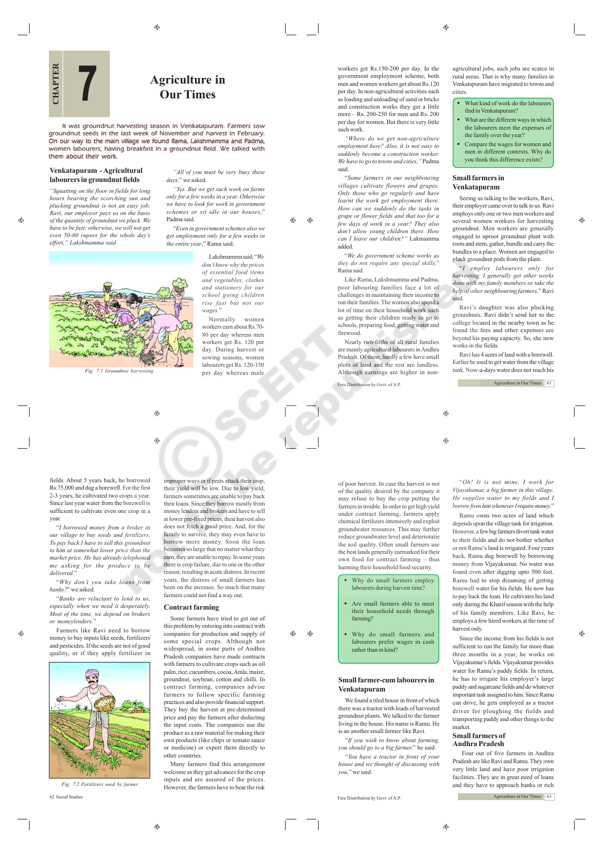$\bigoplus$ 

# **Agriculture in Our Times**

It was groundnut harvesting season in Venkatapuram. Farmers sow groundnut seeds in the last week of November and harvest in February. On our way to the main village we found Rama, Lakshmamma and Padma, women labourers, having breakfast in a groundnut field. We talked with them about their work. Them about the main them about their work.<br>
The main state of the main work.<br>
We work the main them about their work.<br>
We main them about their work.

## **Venkatapuram - Agricultural labourers in groundnut fields**

**7**

*"Squatting on the floor in fields for long hours bearing the scorching sun and plucking groundnut is not an easy job. Ravi, our employer pays us on the basis of the quantity of groundnut we pluck. We have to be fast; otherwise, we will not get even 50-60 rupees for the whole day's effort," Lakshmamma said.*

æ

*"All of you must be very busy these days,*" we asked. *"Yes. But we get such work on farms only for a few weeks in a year. Otherwise*

*we have to look for work in government schemes or sit idle in our houses*," Padma said. "*Even in government schemes also we get employment only for a few weeks in the entire year*," Rama said.

> Lakshmamma said, "*We don't know why the prices of essential food items and vegetables, clothes and stationery for our school going children rise fast but not our wages.*"

ക  $\bigoplus$ 

Normally women workers earn about Rs.70- 80 per day whereas men workers get Rs. 120 per day. During harvest or sowing seasons, women labourers get Rs. 120-150 per day whereas male

workers get Rs.150-200 per day. In the government employment scheme, both men and women workers get about Rs.120 per day. In non-agricultural activities such as loading and unloading of sand or bricks and construction works they get a little more – Rs. 200-250 for men and Rs. 200 per day for women. But there is very little such work.

*"Where do we get non-agriculture employment here? Also, it is not easy to suddenly become a construction worker. We have to go to towns and cities,"* Padma said.

"*Some farmers in our neighbouring villages cultivate flowers and grapes. Only those who go regularly and have learnt the work get employment there. How can we suddenly do the tasks in grape or flower fields and that too for a few days of work in a year? They also don't allow young children there. How can I leave our children?"* Lakmamma added.

"*We do government scheme works as they do not require any special skills,*" Rama said.

Like Rama, Lakshmamma and Padma, poor labouring families face a lot of challenges in maintaining their income to run their families. The women also spend a lot of time on their household work such as getting their children ready to go to schools, preparing food, getting water and firewood.

Nearly two-fifths of all rural families are mainly agricultural labourers in Andhra Pradesh. Of these, hardly a few have small plots of land and the rest are landless. Although earnings are higher in non-

Free Distribution by Govt. of A.P.

 $\bigoplus$ ⊕

of poor harvest. In case the harvest is not "*Oh! It is not mine. I work for Vijayakumar, a big farmer in this village. He supplies water to my fields and I borrow from him whenever I require money.*" Ramu owns two acres of land which

depends upon the village tank for irrigation. However, a few big farmers divert tank water to their fields and do not bother whether or not Ramu's land is irrigated. Four years back, Ramu dug borewell by borrowing money from Vijayakumar. No water was found even after digging upto 500 feet. Ramu had to stop dreaming of getting borewell water for his fields. He now has to pay back the loan. He cultivates his land only during the Kharif season with the help of his family members. Like Ravi, he employs a few hired workers at the time of harvest only.

Since the income from his fields is not sufficient to run the family for more than three months in a year, he works on Vijayakumar's fields. Vijayakumar provides water for Ramu's paddy fields. In return, he has to irrigate his employer's large paddy and sugarcane fields and do whatever important task assigned to him. Since Ramu can drive, he gets employed as a tractor driver for ploughing the fields and transporting paddy and other things to the market.

#### **Small farmers of Andhra Pradesh**

 Four out of five farmers in Andhra Pradesh are like Ravi and Ramu. They own very little land and have poor irrigation facilities. They are in great need of loans and they have to approach banks or rich

Agriculture in Our Times 63

 $\sim$ DERIVE SETAPTAGE *Fig: 7.1 Groundnut harvesting*

⊕

۳

fields. About 5 years back, he borrowed Rs.75,000 and dug a borewell. For the first 2-3 years, he cultivated two crops a year.  $\frac{1}{2}$   $\frac{1}{2}$   $\frac{1}{2}$   $\frac{1}{2}$   $\frac{1}{2}$   $\frac{1}{2}$   $\frac{1}{2}$   $\frac{1}{2}$   $\frac{1}{2}$   $\frac{1}{2}$   $\frac{1}{2}$   $\frac{1}{2}$   $\frac{1}{2}$   $\frac{1}{2}$   $\frac{1}{2}$   $\frac{1}{2}$   $\frac{1}{2}$   $\frac{1}{2}$   $\frac{1}{2}$   $\frac{1}{2}$   $\frac{1}{2}$   $\frac{1}{2}$  sufficient to cultivate even one crop in a year.

"*I borrowed money from a broker in our village to buy seeds and fertilizers. To pay back I have to sell this groundnut to him at somewhat lower price than the market price. He has already telephoned me asking for the produce to be delivered.*"

"*Why don't you take loans from banks?*" we asked.

"*Banks are reluctant to lend to us, especially when we need it desperately. Most of the time, we depend on brokers or moneylenders.*"

Farmers like Ravi need to borrow money to buy inputs like seeds, fertilizers and pesticides. If the seeds are not of good quality, or if they apply fertilizer in

 $\oplus$ 



62 Social Studies *Fig: 7.2 Fertilizers used by farme* 

improper ways or if pests attack their crop, their yield will be low. Due to low yield, farmers sometimes are unable to pay back their loans. Since they borrow mostly from money lenders and brokers and have to sell at lower pre-fixed prices, their harvest also does not fetch a good price. And, for the family to survive, they may even have to borrow more money. Soon the loan becomes so large that no matter what they earn, they are unable to repay. In some years there is crop failure, due to one or the other reason, resulting in acute distress. In recent years, the distress of small farmers has been on the increase. So much that many farmers could not find a way out.

## **Contract farming**

Some farmers have tried to get out of this problem by entering into contract with companies for production and supply of some special crops. Although not widespread, in some parts of Andhra Pradesh companies have made contracts with farmers to cultivate crops such as oil palm, rice, cucumbers, cocoa, Amla, maize, groundnut, soybean, cotton and chilli. In contract farming, companies advise farmers to follow specific farming practices and also provide financial support. They buy the harvest at pre-determined price and pay the farmers after deducting the input costs. The companies use the produce as a raw material for making their own products (like chips or tomato sauce or medicine) or export them directly to other countries.

Many farmers find this arrangement welcome as they get advances for the crop inputs and are assured of the prices. However, the farmers have to bear the risk

 $\bigoplus$ 

of the quality desired by the company it may refuse to buy the crop putting the farmers in trouble. In order to get high yield under contract farming, farmers apply chemical fertilizers intensively and exploit groundwater resources. This may further reduce groundwater level and deterioratie the soil quality. Often small farmers use the best lands generally earmarked for their own food for contract farming – thus harming their household food security.

- Why do small farmers employ labourers during harvest time<sup>®</sup> Are small farmers able to meet their household needs through farming?
	- Why do small farmers and labourers prefer wages in cash rather than in kind?

# **Small farmer-cum labourers in Venkatapuram**

We found a tiled house in front of which there was a tractor with loads of harvested groundnut plants. We talked to the farmer living in the house. His name is Ramu. He is an another small farmer like Ravi.

"*If you wish to know about farming, you should go to a big farmer,*" he said. "*You have a tractor in front of your house and we thought of discussing with you,*" we said.

Free Distribution by Govt. of A.P.

agricultural jobs, such jobs are scarce in rural areas. That is why many families in Venkatapuram have migrated to towns and cities.

- What kind of work do the labourers find in Venkatapuram?
- What are the different ways in which the labourers meet the expenses of the family over the year?
- Compare the wages for women and men in different contexts. Why do you think this difference exists?

## **Small farmers in Venkatapuram**

Seeing us talking to the workers, Ravi, their employer came over to talk to us. Ravi employs only one or two men workers and several women workers for harvesting groundnut. Men workers are generally engaged to uproot groundnut plant with roots and stem, gather, bundle and carry the bundles to a place. Women are engaged to pluck groundnut pods from the plant.

æ

♠

"*I employ labourers only for harvesting. I generally get other works done with my family members or take the help of other neighbouring farmers,*" Ravi said.

Ravi's daughter was also plucking groundnuts. Ravi didn't send her to the college located in the nearby town as he found the fees and other expenses are beyond his paying capacity. So, she now works in the fields.

Ravi has 4 acres of land with a borewell. Earlier he used to get water from the village tank. Now-a-days water does not reach his

Agriculture in Our Times 61

Æ۵ ⊕